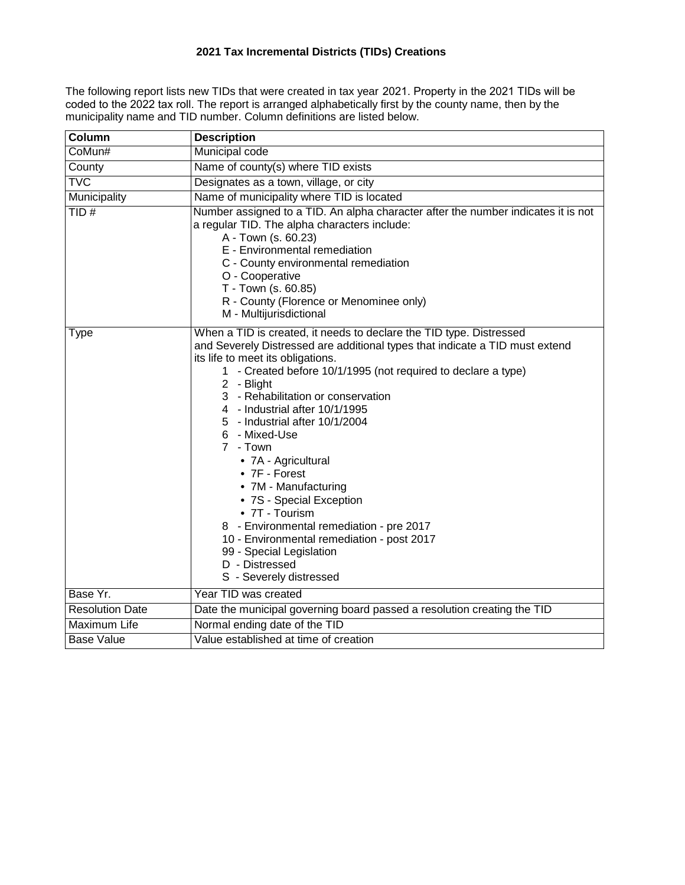The following report lists new TIDs that were created in tax year 2021. Property in the 2021 TIDs will be coded to the 2022 tax roll. The report is arranged alphabetically first by the county name, then by the municipality name and TID number. Column definitions are listed below.

| Column                  | <b>Description</b>                                                                                                                                                                                                                                                                                                                                                                                                                                                                                                                                                                                                                                                                              |
|-------------------------|-------------------------------------------------------------------------------------------------------------------------------------------------------------------------------------------------------------------------------------------------------------------------------------------------------------------------------------------------------------------------------------------------------------------------------------------------------------------------------------------------------------------------------------------------------------------------------------------------------------------------------------------------------------------------------------------------|
| CoMun#                  | Municipal code                                                                                                                                                                                                                                                                                                                                                                                                                                                                                                                                                                                                                                                                                  |
| County                  | Name of county(s) where TID exists                                                                                                                                                                                                                                                                                                                                                                                                                                                                                                                                                                                                                                                              |
| $\overline{\text{TVC}}$ | Designates as a town, village, or city                                                                                                                                                                                                                                                                                                                                                                                                                                                                                                                                                                                                                                                          |
| Municipality            | Name of municipality where TID is located                                                                                                                                                                                                                                                                                                                                                                                                                                                                                                                                                                                                                                                       |
| TID#                    | Number assigned to a TID. An alpha character after the number indicates it is not<br>a regular TID. The alpha characters include:<br>A - Town (s. 60.23)<br>E - Environmental remediation<br>C - County environmental remediation<br>O - Cooperative<br>T - Town (s. 60.85)<br>R - County (Florence or Menominee only)<br>M - Multijurisdictional                                                                                                                                                                                                                                                                                                                                               |
| <b>Type</b>             | When a TID is created, it needs to declare the TID type. Distressed<br>and Severely Distressed are additional types that indicate a TID must extend<br>its life to meet its obligations.<br>1 - Created before 10/1/1995 (not required to declare a type)<br>2 - Blight<br>3 - Rehabilitation or conservation<br>4 - Industrial after 10/1/1995<br>5 - Industrial after 10/1/2004<br>6 - Mixed-Use<br>7 - Town<br>• 7A - Agricultural<br>• 7F - Forest<br>• 7M - Manufacturing<br>• 7S - Special Exception<br>• 7T - Tourism<br>8 - Environmental remediation - pre 2017<br>10 - Environmental remediation - post 2017<br>99 - Special Legislation<br>D - Distressed<br>S - Severely distressed |
| Base Yr.                | Year TID was created                                                                                                                                                                                                                                                                                                                                                                                                                                                                                                                                                                                                                                                                            |
| <b>Resolution Date</b>  | Date the municipal governing board passed a resolution creating the TID                                                                                                                                                                                                                                                                                                                                                                                                                                                                                                                                                                                                                         |
| Maximum Life            | Normal ending date of the TID                                                                                                                                                                                                                                                                                                                                                                                                                                                                                                                                                                                                                                                                   |
| <b>Base Value</b>       | Value established at time of creation                                                                                                                                                                                                                                                                                                                                                                                                                                                                                                                                                                                                                                                           |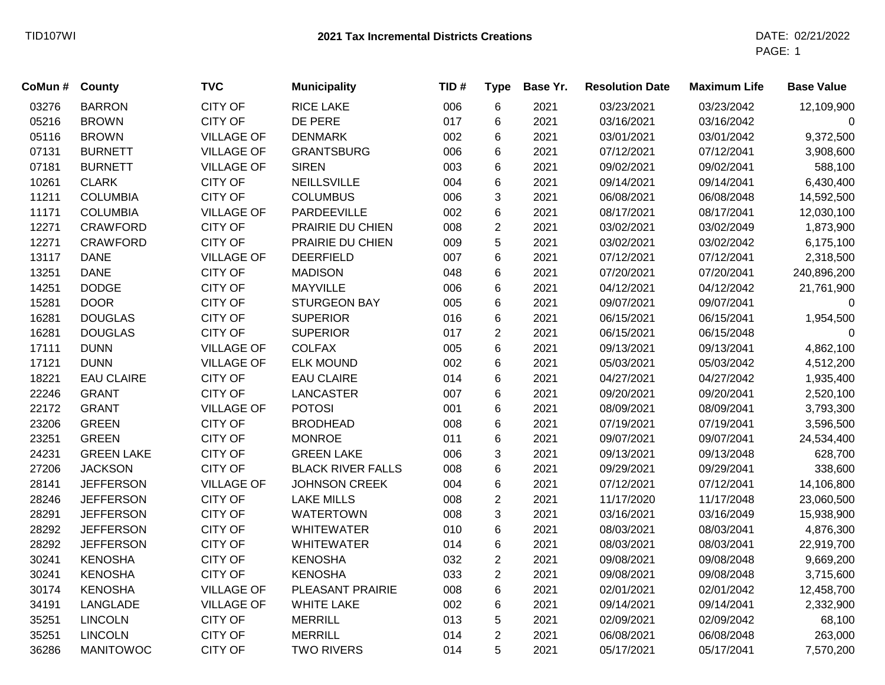| CoMun # | <b>County</b>     | <b>TVC</b>        | <b>Municipality</b>      | TID# | <b>Type</b>    | Base Yr. | <b>Resolution Date</b> | <b>Maximum Life</b> | <b>Base Value</b> |
|---------|-------------------|-------------------|--------------------------|------|----------------|----------|------------------------|---------------------|-------------------|
| 03276   | <b>BARRON</b>     | <b>CITY OF</b>    | <b>RICE LAKE</b>         | 006  | 6              | 2021     | 03/23/2021             | 03/23/2042          | 12,109,900        |
| 05216   | <b>BROWN</b>      | <b>CITY OF</b>    | DE PERE                  | 017  | 6              | 2021     | 03/16/2021             | 03/16/2042          | 0                 |
| 05116   | <b>BROWN</b>      | <b>VILLAGE OF</b> | <b>DENMARK</b>           | 002  | 6              | 2021     | 03/01/2021             | 03/01/2042          | 9,372,500         |
| 07131   | <b>BURNETT</b>    | <b>VILLAGE OF</b> | <b>GRANTSBURG</b>        | 006  | 6              | 2021     | 07/12/2021             | 07/12/2041          | 3,908,600         |
| 07181   | <b>BURNETT</b>    | <b>VILLAGE OF</b> | <b>SIREN</b>             | 003  | 6              | 2021     | 09/02/2021             | 09/02/2041          | 588,100           |
| 10261   | <b>CLARK</b>      | <b>CITY OF</b>    | <b>NEILLSVILLE</b>       | 004  | 6              | 2021     | 09/14/2021             | 09/14/2041          | 6,430,400         |
| 11211   | <b>COLUMBIA</b>   | <b>CITY OF</b>    | <b>COLUMBUS</b>          | 006  | 3              | 2021     | 06/08/2021             | 06/08/2048          | 14,592,500        |
| 11171   | <b>COLUMBIA</b>   | <b>VILLAGE OF</b> | PARDEEVILLE              | 002  | 6              | 2021     | 08/17/2021             | 08/17/2041          | 12,030,100        |
| 12271   | <b>CRAWFORD</b>   | <b>CITY OF</b>    | PRAIRIE DU CHIEN         | 008  | $\overline{c}$ | 2021     | 03/02/2021             | 03/02/2049          | 1,873,900         |
| 12271   | <b>CRAWFORD</b>   | <b>CITY OF</b>    | PRAIRIE DU CHIEN         | 009  | 5              | 2021     | 03/02/2021             | 03/02/2042          | 6,175,100         |
| 13117   | <b>DANE</b>       | <b>VILLAGE OF</b> | <b>DEERFIELD</b>         | 007  | 6              | 2021     | 07/12/2021             | 07/12/2041          | 2,318,500         |
| 13251   | <b>DANE</b>       | <b>CITY OF</b>    | <b>MADISON</b>           | 048  | $6\phantom{1}$ | 2021     | 07/20/2021             | 07/20/2041          | 240,896,200       |
| 14251   | <b>DODGE</b>      | <b>CITY OF</b>    | <b>MAYVILLE</b>          | 006  | 6              | 2021     | 04/12/2021             | 04/12/2042          | 21,761,900        |
| 15281   | <b>DOOR</b>       | <b>CITY OF</b>    | <b>STURGEON BAY</b>      | 005  | 6              | 2021     | 09/07/2021             | 09/07/2041          | $\mathbf 0$       |
| 16281   | <b>DOUGLAS</b>    | <b>CITY OF</b>    | <b>SUPERIOR</b>          | 016  | 6              | 2021     | 06/15/2021             | 06/15/2041          | 1,954,500         |
| 16281   | <b>DOUGLAS</b>    | <b>CITY OF</b>    | <b>SUPERIOR</b>          | 017  | $\overline{2}$ | 2021     | 06/15/2021             | 06/15/2048          | $\mathbf 0$       |
| 17111   | <b>DUNN</b>       | <b>VILLAGE OF</b> | <b>COLFAX</b>            | 005  | 6              | 2021     | 09/13/2021             | 09/13/2041          | 4,862,100         |
| 17121   | <b>DUNN</b>       | <b>VILLAGE OF</b> | <b>ELK MOUND</b>         | 002  | 6              | 2021     | 05/03/2021             | 05/03/2042          | 4,512,200         |
| 18221   | <b>EAU CLAIRE</b> | <b>CITY OF</b>    | <b>EAU CLAIRE</b>        | 014  | 6              | 2021     | 04/27/2021             | 04/27/2042          | 1,935,400         |
| 22246   | <b>GRANT</b>      | <b>CITY OF</b>    | <b>LANCASTER</b>         | 007  | $6\phantom{1}$ | 2021     | 09/20/2021             | 09/20/2041          | 2,520,100         |
| 22172   | <b>GRANT</b>      | <b>VILLAGE OF</b> | <b>POTOSI</b>            | 001  | 6              | 2021     | 08/09/2021             | 08/09/2041          | 3,793,300         |
| 23206   | <b>GREEN</b>      | <b>CITY OF</b>    | <b>BRODHEAD</b>          | 008  | 6              | 2021     | 07/19/2021             | 07/19/2041          | 3,596,500         |
| 23251   | <b>GREEN</b>      | <b>CITY OF</b>    | <b>MONROE</b>            | 011  | 6              | 2021     | 09/07/2021             | 09/07/2041          | 24,534,400        |
| 24231   | <b>GREEN LAKE</b> | <b>CITY OF</b>    | <b>GREEN LAKE</b>        | 006  | 3              | 2021     | 09/13/2021             | 09/13/2048          | 628,700           |
| 27206   | <b>JACKSON</b>    | <b>CITY OF</b>    | <b>BLACK RIVER FALLS</b> | 008  | 6              | 2021     | 09/29/2021             | 09/29/2041          | 338,600           |
| 28141   | <b>JEFFERSON</b>  | <b>VILLAGE OF</b> | JOHNSON CREEK            | 004  | 6              | 2021     | 07/12/2021             | 07/12/2041          | 14,106,800        |
| 28246   | <b>JEFFERSON</b>  | <b>CITY OF</b>    | <b>LAKE MILLS</b>        | 008  | $\overline{c}$ | 2021     | 11/17/2020             | 11/17/2048          | 23,060,500        |
| 28291   | <b>JEFFERSON</b>  | <b>CITY OF</b>    | <b>WATERTOWN</b>         | 008  | 3              | 2021     | 03/16/2021             | 03/16/2049          | 15,938,900        |
| 28292   | <b>JEFFERSON</b>  | <b>CITY OF</b>    | <b>WHITEWATER</b>        | 010  | $6\phantom{1}$ | 2021     | 08/03/2021             | 08/03/2041          | 4,876,300         |
| 28292   | <b>JEFFERSON</b>  | <b>CITY OF</b>    | <b>WHITEWATER</b>        | 014  | $\,6$          | 2021     | 08/03/2021             | 08/03/2041          | 22,919,700        |
| 30241   | <b>KENOSHA</b>    | <b>CITY OF</b>    | <b>KENOSHA</b>           | 032  | $\overline{2}$ | 2021     | 09/08/2021             | 09/08/2048          | 9,669,200         |
| 30241   | <b>KENOSHA</b>    | <b>CITY OF</b>    | <b>KENOSHA</b>           | 033  | $\overline{2}$ | 2021     | 09/08/2021             | 09/08/2048          | 3,715,600         |
| 30174   | <b>KENOSHA</b>    | <b>VILLAGE OF</b> | PLEASANT PRAIRIE         | 008  | $\,6$          | 2021     | 02/01/2021             | 02/01/2042          | 12,458,700        |
| 34191   | LANGLADE          | <b>VILLAGE OF</b> | <b>WHITE LAKE</b>        | 002  | 6              | 2021     | 09/14/2021             | 09/14/2041          | 2,332,900         |
| 35251   | <b>LINCOLN</b>    | <b>CITY OF</b>    | <b>MERRILL</b>           | 013  | 5              | 2021     | 02/09/2021             | 02/09/2042          | 68,100            |
| 35251   | <b>LINCOLN</b>    | <b>CITY OF</b>    | <b>MERRILL</b>           | 014  | $\overline{2}$ | 2021     | 06/08/2021             | 06/08/2048          | 263,000           |
| 36286   | <b>MANITOWOC</b>  | <b>CITY OF</b>    | <b>TWO RIVERS</b>        | 014  | 5              | 2021     | 05/17/2021             | 05/17/2041          | 7,570,200         |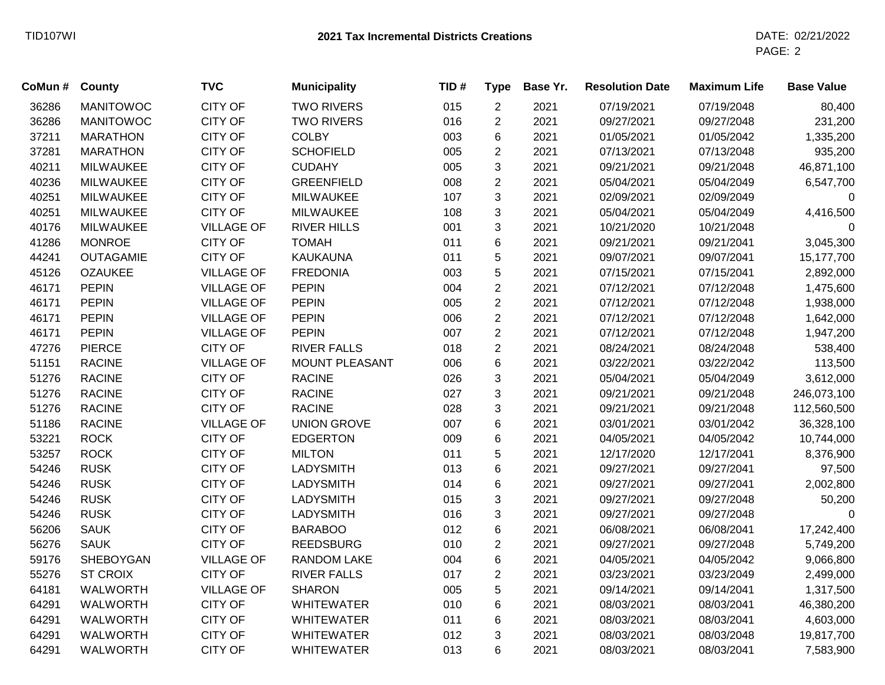| CoMun # | County           | <b>TVC</b>        | <b>Municipality</b> | TID# | <b>Type</b>    | Base Yr. | <b>Resolution Date</b> | <b>Maximum Life</b> | <b>Base Value</b> |
|---------|------------------|-------------------|---------------------|------|----------------|----------|------------------------|---------------------|-------------------|
| 36286   | <b>MANITOWOC</b> | <b>CITY OF</b>    | <b>TWO RIVERS</b>   | 015  | $\overline{c}$ | 2021     | 07/19/2021             | 07/19/2048          | 80,400            |
| 36286   | <b>MANITOWOC</b> | <b>CITY OF</b>    | <b>TWO RIVERS</b>   | 016  | $\overline{2}$ | 2021     | 09/27/2021             | 09/27/2048          | 231,200           |
| 37211   | <b>MARATHON</b>  | <b>CITY OF</b>    | <b>COLBY</b>        | 003  | 6              | 2021     | 01/05/2021             | 01/05/2042          | 1,335,200         |
| 37281   | <b>MARATHON</b>  | <b>CITY OF</b>    | <b>SCHOFIELD</b>    | 005  | $\overline{2}$ | 2021     | 07/13/2021             | 07/13/2048          | 935,200           |
| 40211   | <b>MILWAUKEE</b> | <b>CITY OF</b>    | <b>CUDAHY</b>       | 005  | 3              | 2021     | 09/21/2021             | 09/21/2048          | 46,871,100        |
| 40236   | <b>MILWAUKEE</b> | <b>CITY OF</b>    | <b>GREENFIELD</b>   | 008  | $\overline{2}$ | 2021     | 05/04/2021             | 05/04/2049          | 6,547,700         |
| 40251   | <b>MILWAUKEE</b> | <b>CITY OF</b>    | <b>MILWAUKEE</b>    | 107  | 3              | 2021     | 02/09/2021             | 02/09/2049          | 0                 |
| 40251   | <b>MILWAUKEE</b> | <b>CITY OF</b>    | <b>MILWAUKEE</b>    | 108  | 3              | 2021     | 05/04/2021             | 05/04/2049          | 4,416,500         |
| 40176   | <b>MILWAUKEE</b> | <b>VILLAGE OF</b> | <b>RIVER HILLS</b>  | 001  | 3              | 2021     | 10/21/2020             | 10/21/2048          | 0                 |
| 41286   | <b>MONROE</b>    | <b>CITY OF</b>    | <b>TOMAH</b>        | 011  | 6              | 2021     | 09/21/2021             | 09/21/2041          | 3,045,300         |
| 44241   | <b>OUTAGAMIE</b> | <b>CITY OF</b>    | <b>KAUKAUNA</b>     | 011  | 5              | 2021     | 09/07/2021             | 09/07/2041          | 15,177,700        |
| 45126   | <b>OZAUKEE</b>   | <b>VILLAGE OF</b> | <b>FREDONIA</b>     | 003  | 5              | 2021     | 07/15/2021             | 07/15/2041          | 2,892,000         |
| 46171   | <b>PEPIN</b>     | <b>VILLAGE OF</b> | <b>PEPIN</b>        | 004  | $\overline{2}$ | 2021     | 07/12/2021             | 07/12/2048          | 1,475,600         |
| 46171   | <b>PEPIN</b>     | <b>VILLAGE OF</b> | <b>PEPIN</b>        | 005  | $\overline{2}$ | 2021     | 07/12/2021             | 07/12/2048          | 1,938,000         |
| 46171   | <b>PEPIN</b>     | <b>VILLAGE OF</b> | <b>PEPIN</b>        | 006  | $\overline{2}$ | 2021     | 07/12/2021             | 07/12/2048          | 1,642,000         |
| 46171   | <b>PEPIN</b>     | <b>VILLAGE OF</b> | <b>PEPIN</b>        | 007  | $\overline{2}$ | 2021     | 07/12/2021             | 07/12/2048          | 1,947,200         |
| 47276   | <b>PIERCE</b>    | <b>CITY OF</b>    | <b>RIVER FALLS</b>  | 018  | $\overline{2}$ | 2021     | 08/24/2021             | 08/24/2048          | 538,400           |
| 51151   | <b>RACINE</b>    | <b>VILLAGE OF</b> | MOUNT PLEASANT      | 006  | 6              | 2021     | 03/22/2021             | 03/22/2042          | 113,500           |
| 51276   | <b>RACINE</b>    | <b>CITY OF</b>    | <b>RACINE</b>       | 026  | 3              | 2021     | 05/04/2021             | 05/04/2049          | 3,612,000         |
| 51276   | <b>RACINE</b>    | <b>CITY OF</b>    | <b>RACINE</b>       | 027  | 3              | 2021     | 09/21/2021             | 09/21/2048          | 246,073,100       |
| 51276   | <b>RACINE</b>    | <b>CITY OF</b>    | <b>RACINE</b>       | 028  | 3              | 2021     | 09/21/2021             | 09/21/2048          | 112,560,500       |
| 51186   | <b>RACINE</b>    | <b>VILLAGE OF</b> | <b>UNION GROVE</b>  | 007  | 6              | 2021     | 03/01/2021             | 03/01/2042          | 36,328,100        |
| 53221   | <b>ROCK</b>      | <b>CITY OF</b>    | <b>EDGERTON</b>     | 009  | 6              | 2021     | 04/05/2021             | 04/05/2042          | 10,744,000        |
| 53257   | <b>ROCK</b>      | <b>CITY OF</b>    | <b>MILTON</b>       | 011  | 5              | 2021     | 12/17/2020             | 12/17/2041          | 8,376,900         |
| 54246   | <b>RUSK</b>      | <b>CITY OF</b>    | <b>LADYSMITH</b>    | 013  | 6              | 2021     | 09/27/2021             | 09/27/2041          | 97,500            |
| 54246   | <b>RUSK</b>      | <b>CITY OF</b>    | <b>LADYSMITH</b>    | 014  | 6              | 2021     | 09/27/2021             | 09/27/2041          | 2,002,800         |
| 54246   | <b>RUSK</b>      | <b>CITY OF</b>    | <b>LADYSMITH</b>    | 015  | 3              | 2021     | 09/27/2021             | 09/27/2048          | 50,200            |
| 54246   | <b>RUSK</b>      | <b>CITY OF</b>    | <b>LADYSMITH</b>    | 016  | 3              | 2021     | 09/27/2021             | 09/27/2048          | 0                 |
| 56206   | <b>SAUK</b>      | <b>CITY OF</b>    | <b>BARABOO</b>      | 012  | 6              | 2021     | 06/08/2021             | 06/08/2041          | 17,242,400        |
| 56276   | <b>SAUK</b>      | <b>CITY OF</b>    | <b>REEDSBURG</b>    | 010  | $\overline{2}$ | 2021     | 09/27/2021             | 09/27/2048          | 5,749,200         |
| 59176   | <b>SHEBOYGAN</b> | <b>VILLAGE OF</b> | <b>RANDOM LAKE</b>  | 004  | 6              | 2021     | 04/05/2021             | 04/05/2042          | 9,066,800         |
| 55276   | <b>ST CROIX</b>  | <b>CITY OF</b>    | <b>RIVER FALLS</b>  | 017  | $\overline{2}$ | 2021     | 03/23/2021             | 03/23/2049          | 2,499,000         |
| 64181   | <b>WALWORTH</b>  | <b>VILLAGE OF</b> | <b>SHARON</b>       | 005  | 5              | 2021     | 09/14/2021             | 09/14/2041          | 1,317,500         |
| 64291   | <b>WALWORTH</b>  | <b>CITY OF</b>    | <b>WHITEWATER</b>   | 010  | 6              | 2021     | 08/03/2021             | 08/03/2041          | 46,380,200        |
| 64291   | <b>WALWORTH</b>  | <b>CITY OF</b>    | <b>WHITEWATER</b>   | 011  | 6              | 2021     | 08/03/2021             | 08/03/2041          | 4,603,000         |
| 64291   | <b>WALWORTH</b>  | <b>CITY OF</b>    | <b>WHITEWATER</b>   | 012  | 3              | 2021     | 08/03/2021             | 08/03/2048          | 19,817,700        |
| 64291   | WALWORTH         | <b>CITY OF</b>    | <b>WHITEWATER</b>   | 013  | 6              | 2021     | 08/03/2021             | 08/03/2041          | 7,583,900         |